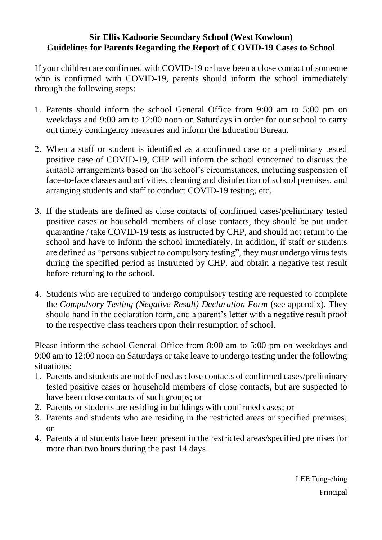# **Sir Ellis Kadoorie Secondary School (West Kowloon) Guidelines for Parents Regarding the Report of COVID-19 Cases to School**

If your children are confirmed with COVID-19 or have been a close contact of someone who is confirmed with COVID-19, parents should inform the school immediately through the following steps:

- 1. Parents should inform the school General Office from 9:00 am to 5:00 pm on weekdays and 9:00 am to 12:00 noon on Saturdays in order for our school to carry out timely contingency measures and inform the Education Bureau.
- 2. When a staff or student is identified as a confirmed case or a preliminary tested positive case of COVID-19, CHP will inform the school concerned to discuss the suitable arrangements based on the school's circumstances, including suspension of face-to-face classes and activities, cleaning and disinfection of school premises, and arranging students and staff to conduct COVID-19 testing, etc.
- 3. If the students are defined as close contacts of confirmed cases/preliminary tested positive cases or household members of close contacts, they should be put under quarantine / take COVID-19 tests as instructed by CHP, and should not return to the school and have to inform the school immediately. In addition, if staff or students are defined as "persons subject to compulsory testing", they must undergo virus tests during the specified period as instructed by CHP, and obtain a negative test result before returning to the school.
- 4. Students who are required to undergo compulsory testing are requested to complete the *Compulsory Testing (Negative Result) Declaration Form* (see appendix). They should hand in the declaration form, and a parent's letter with a negative result proof to the respective class teachers upon their resumption of school.

Please inform the school General Office from 8:00 am to 5:00 pm on weekdays and 9:00 am to 12:00 noon on Saturdays or take leave to undergo testing under the following situations:

- 1. Parents and students are not defined as close contacts of confirmed cases/preliminary tested positive cases or household members of close contacts, but are suspected to have been close contacts of such groups; or
- 2. Parents or students are residing in buildings with confirmed cases; or
- 3. Parents and students who are residing in the restricted areas or specified premises; or
- 4. Parents and students have been present in the restricted areas/specified premises for more than two hours during the past 14 days.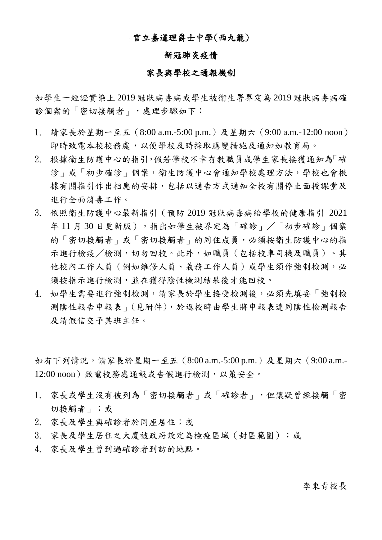## 官立嘉道理爵士中學(西九龍)

## 新冠肺炎疫情

#### 家長與學校之通報機制

如學生一經證實染上 2019 冠狀病毒病或學生被衛生署界定為 2019 冠狀病毒病確 診個案的「密切接觸者」,處理步驟如下:

- 1. 請家長於星期一至五(8:00 a.m.-5:00 p.m.)及星期六(9:00 a.m.-12:00 noon) 即時致電本校校務處,以便學校及時採取應變措施及通知如教育局。
- 2. 根據衛生防護中心的指引,假若學校不幸有教職員或學生家長接獲通知為「確 診」或「初步確診」個案,衛生防護中心會通知學校處理方法,學校也會根 據有關指引作出相應的安排,包括以通告方式通知全校有關停止面授課堂及 進行全面消毒工作。
- 3. 依照衛生防護中心最新指引(預防 2019 冠狀病毒病給學校的健康指引-2021 年11月30日更新版),指出如學生被界定為「確診」/「初步確診」個案 的「密切接觸者」的同住成員,必須按衛生防護中心的指 示進行檢疫/檢測,切勿回校。此外,如職員(包括校車司機及職員)、其 他校內工作人員(例如維修人員、義務工作人員)或學生須作強制檢測,必 須按指示進行檢測,並在獲得陰性檢測結果後才能回校。
- 4. 如學生需要進行強制檢測,請家長於學生接受檢測後,必須先填妥「強制檢 測陰性報告申報表」(見附件),於返校時由學生將申報表連同陰性檢測報告 及請假信交予其班主任。

如有下列情況,請家長於星期一至五 (8:00 a.m.-5:00 p.m.)及星期六 (9:00 a.m.-12:00 noon)致電校務處通報或告假進行檢測,以策安全。

- 1. 家長或學生沒有被列為「密切接觸者」或「確診者」,但懷疑曾經接觸「密 切接觸者」;或
- 2. 家長及學生與確診者於同座居住;或
- 3. 家長及學生居住之大廈被政府設定為檢疫區域(封區範圍);或
- 4. 家長及學生曾到過確診者到訪的地點。

# 李東青校長